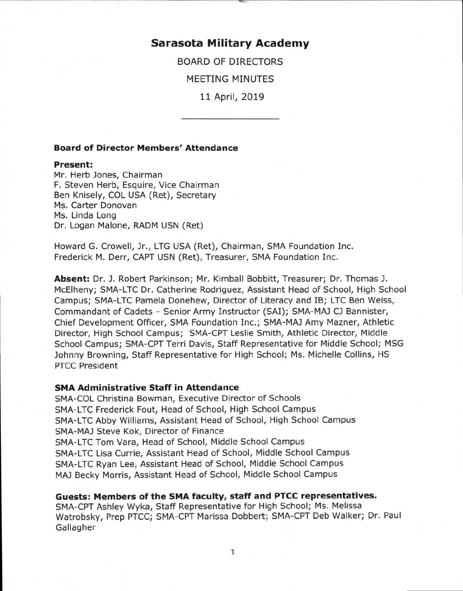# **Sarasota Military Academy**

BOARD OF DIRECTORS

MEETING MINUTES

11 April, 2019

#### **Board of Director Members' Attendance**

#### **Present:**

Mr. Herb Jones, Chairman F. Steven Herb, Esquire, Vice Chairman Ben Knisely, COL USA (Ret), Secretary Ms. Carter Donovan Ms. Linda Long Dr. Logan Malone, RADM USN (Ret)

Howard G. Crowell, Jr., LTG USA (Ret), Chairman, SMA Foundation Inc. Frederick M. Derr, CAPT USN (Ret), Treasurer, SMA Foundation Inc.

**Absent:** Dr. J. Robert Parkinson; Mr. Kimball Bobbitt, Treasurer; Dr. Thomas J. McElheny; SMA-LTC Dr. Catherine Rodriguez, Assistant Head of School, High School Campus; SMA-LTC Pamela Donehew, Director of Literacy and IB; LTC Ben Weiss, Commandant of Cadets - Senior Army Instructor (SAI); SMA-MAJ CJ Bannister, Chief Development Officer, SMA Foundation Inc.; SMA-MAJ Amy Mazner, Athletic Director, High School Campus; SMA-CPT Leslie Smith, Athletic Director, Middle School Campus; SMA-CPT Terri Davis, Staff Representative for Middle School; MSG Johnny Browning, Staff Representative for High School; Ms. Michelle Collins, HS PTCC President

#### **SMA Administrative Staff in Attendance**

SMA-COL Christina Bowman, Executive Director of Schools SMA-LTC Frederick Fout, Head of School, High School Campus SMA-LTC Abby Williams, Assistant Head of School, High School Campus SMA-MAJ Steve Kok, Director of Finance SMA-LTC Tom Vara, Head of School, Middle School Campus SMA-LTC Lisa Currie, Assistant Head of School, Middle School Campus SMA-LTC Ryan Lee, Assistant Head of School, Middle School Campus MAJ Becky Morris, Assistant Head of School, Middle School Campus

## **Guests: Members of the SMA faculty, staff and PTCC representatives.**

SMA-CPT Ashley Wyka, Staff Representative for High School; Ms. Melissa Watrobsky, Prep PTCC; SMA-CPT Marissa Dobbert; SMA-CPT Deb Walker; Dr. Paul Gallagher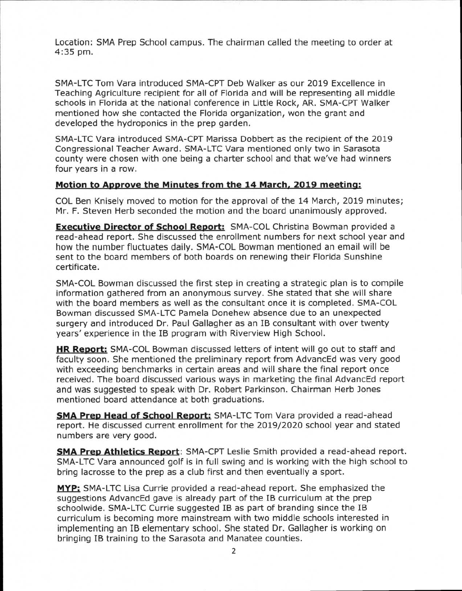Location: SMA Prep School campus. The chairman called the meeting to order at 4:35 pm.

SMA-LTC Tom Vara introduced SMA-CPT Deb Walker as our 2019 Excellence in Teaching Agriculture recipient for all of Florida and will be representing all middle schools in Florida at the national conference in Little Rock, AR. SMA-CPT Walker mentioned how she contacted the Florida organization, won the grant and developed the hydroponics in the prep garden.

SMA-LTC Vara introduced SMA-CPT Marissa Dobbert as the recipient of the 2019 Congressional Teacher Award. SMA-LTC Vara mentioned only two in Sarasota county were chosen with one being a charter school and that we've had winners four years in a row.

## **Motion to Approve the Minutes from the 14 March, 2019 meeting:**

COL Ben Knisely moved to motion for the approval of the 14 March, 2019 minutes; Mr. F. Steven Herb seconded the motion and the board unanimously approved.

**Executive Director of School Report:** SMA-COL Christina Bowman provided a read-ahead report. She discussed the enrollment numbers for next school year and how the number fluctuates daily. SMA-COL Bowman mentioned an email will be sent to the board members of both boards on renewing their Florida Sunshine certificate.

SMA-COL Bowman discussed the first step in creating a strategic plan is to compile information gathered from an anonymous survey. She stated that she will share with the board members as well as the consultant once it is completed. SMA-COL Bowman discussed SMA-LTC Pamela Donehew absence due to an unexpected surgery and introduced Dr. Paul Gallagher as an IB consultant with over twenty years' experience in the IB program with Riverview High School.

**HR Report:** SMA-COL Bowman discussed letters of intent will go out to staff and faculty soon. She mentioned the preliminary report from AdvancEd was very good with exceeding benchmarks in certain areas and will share the final report once received. The board discussed various ways in marketing the final AdvancEd report and was suggested to speak with Dr. Robert Parkinson. Chairman Herb Jones mentioned board attendance at both graduations.

**SMA Prep Head of School Report:** SMA-LTC Tom Vara provided a read-ahead report. He discussed current enrollment for the 2019/2020 school year and stated numbers are very good.

**SMA Prep Athletics Report:** SMA-CPT Leslie Smith provided a read-ahead report. SMA-LTC Vara announced golf is in full swing and is working with the high school to bring lacrosse to the prep as a club first and then eventually a sport.

**MYP:** SMA-LTC Lisa Currie provided a read-ahead report. She emphasized the suggestions AdvancEd gave is already part of the IB curriculum at the prep schoolwide. SMA-LTC Currie suggested IB as part of branding since the IB curriculum is becoming more mainstream with two middle schools interested in implementing an IB elementary school. She stated Dr. Gallagher is working on bringing IB training to the Sarasota and Manatee counties.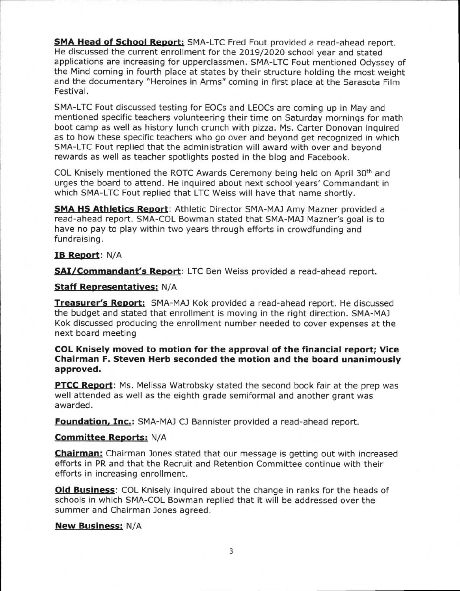**SMA Head of School Report:** SMA-LTC Fred Fout provided a read-ahead report. He discussed the current enrollment for the 2019/2020 school year and stated applications are increasing for upperclassmen. SMA-LTC Fout mentioned Odyssey of the Mind coming in fourth place at states by their structure holding the most weight and the documentary "Heroines in Arms" coming in first place at the Sarasota Film Festival.

SMA-LTC Fout discussed testing for EOCs and LEOCs are coming up in May and mentioned specific teachers volunteering their time on Saturday mornings for math boot camp as well as history lunch crunch with pizza. Ms. Carter Donovan inquired as to how these specific teachers who go over and beyond get recognized in which SMA-LTC Fout replied that the administration will award with over and beyond rewards as well as teacher spotlights posted in the blog and Facebook.

COL Knisely mentioned the ROTC Awards Ceremony being held on April  $30<sup>th</sup>$  and urges the board to attend. He inquired about next school years' Commandant in which SMA-LTC Fout replied that LTC Weiss will have that name shortly.

**SMA HS Athletics Report:** Athletic Director SMA-MAJ Amy Mazner provided a read-ahead report. SMA-COL Bowman stated that SMA-MAJ Mazner's goal is to have no pay to play within two years through efforts in crowdfunding and fundraising.

## **IB Report:** N/A

**SAI/Commandant's Report:** LTC Ben Weiss provided a read-ahead report.

## **Staff Representatives:** N/A

**Treasurer's Report:** SMA-MAJ Kok provided a read-ahead report. He discussed the budget and stated that enrollment is moving in the right direction. SMA-MAJ Kok discussed producing the enrollment number needed to cover expenses at the next board meeting

## **COL Knisely moved to motion for the approval of the financial report; Vice Chairman F. Steven Herb seconded the motion and the board unanimously approved.**

**PTCC Report:** Ms. Melissa Watrobsky stated the second book fair at the prep was well attended as well as the eighth grade semiformal and another grant was awarded.

**Foundation, Inc.:** SMA-MAJ CJ Bannister provided a read-ahead report.

## **Committee Reports:** N/A

**Chairman:** Chairman Jones stated that our message is getting out with increased efforts in PR and that the Recruit and Retention Committee continue with their efforts in increasing enrollment.

**Old Business:** COL Knisely inquired about the change in ranks for the heads of schools in which SMA-COL Bowman replied that it will be addressed over the summer and Chairman Jones agreed.

## **New Business:** N/A